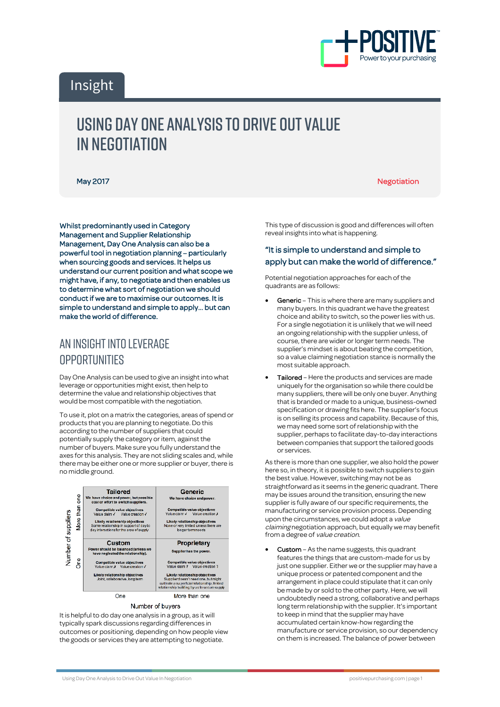

# Insight

### $\overline{a}$ USING DAY ONE ANALYSIS TO DRIVE OUT VALUE IN NEGOTIATION

May 2017 **Negotiation May 2017** 

Whilst predominantly used in Category<br>Management and Gunnligo Peletianship Management and Supplier Relationship Management, Day One Analysis can also be a powerful tool in negotiation planning – particularly when sourcing goods and services. It helps us understand our current position and what scope we might have, if any, to negotiate and then enables us to determine what sort of negotiation we should conduct if we are to maximise our outcomes. It is simple to understand and simple to apply… but can make the world of difference.

# An insight into leverage **OPPORTUNITIES**

Day One Analysis can be used to give an insight into what leverage or opportunities might exist, then help to determine the value and relationship objectives that would be most compatible with the negotiation.

To use it, plot on a matrix the categories, areas of spend or products that you are planning to negotiate. Do this according to the number of suppliers that could potentially supply the category or item, against the number of buyers. Make sure you fully understand the axes for this analysis. They are not sliding scales and, while there may be either one or more supplier or buyer, there is no middle ground.



It is helpful to do day one analysis in a group, as it will typically spark discussions regarding differences in outcomes or positioning, depending on how people view the goods or services they are attempting to negotiate.

This type of discussion is good and differences will often reveal insights into what is happening.

### "It is simple to understand and simple to apply but can make the world of difference."

Potential negotiation approaches for each of the quadrants are as follows:

- Generic This is where there are many suppliers and many buyers. In this quadrant we have the greatest choice and ability to switch, so the power lies with us. For a single negotiation it is unlikely that we will need an ongoing relationship with the supplier unless, of course, there are wider or longer term needs. The supplier's mindset is about beating the competition, so a value claiming negotiation stance is normally the most suitable approach.
- Tailored Here the products and services are made uniquely for the organisation so while there could be many suppliers, there will be only one buyer. Anything that is branded or made to a unique, business-owned specification or drawing fits here. The supplier's focus is on selling its process and capability. Because of this, we may need some sort of relationship with the supplier, perhaps to facilitate day-to-day interactions between companies that support the tailored goods or services.

As there is more than one supplier, we also hold the power here so, in theory, it is possible to switch suppliers to gain the best value. However, switching may not be as straightforward as it seems in the generic quadrant. There may be issues around the transition, ensuring the new supplier is fully aware of our specific requirements, the manufacturing or service provision process. Depending upon the circumstances, we could adopt a value claiming negotiation approach, but equally we may benefit from a degree of value creation.

• Custom – As the name suggests, this quadrant features the things that are custom-made for us by just one supplier. Either we or the supplier may have a unique process or patented component and the arrangement in place could stipulate that it can only be made by or sold to the other party. Here, we will undoubtedly need a strong, collaborative and perhaps long term relationship with the supplier. It's important to keep in mind that the supplier may have accumulated certain know-how regarding the manufacture or service provision, so our dependency on them is increased. The balance of power between